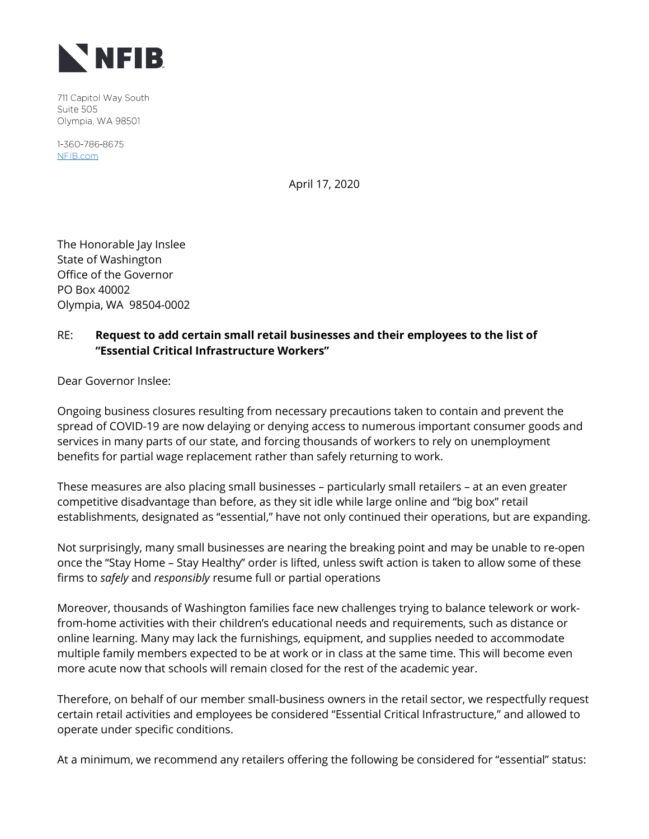

711 Capitol Way South Suite 505 Olympia, WA 98501

1-360-786-8675 NFIB.com

April 17, 2020

The Honorable Jay Inslee State of Washington Office of the Governor PO Box 40002 Olympia, WA 98504-0002

## RE: **Request to add certain small retail businesses and their employees to the list of "Essential Critical Infrastructure Workers"**

Dear Governor Inslee:

Ongoing business closures resulting from necessary precautions taken to contain and prevent the spread of COVID-19 are now delaying or denying access to numerous important consumer goods and services in many parts of our state, and forcing thousands of workers to rely on unemployment benefits for partial wage replacement rather than safely returning to work.

These measures are also placing small businesses – particularly small retailers – at an even greater competitive disadvantage than before, as they sit idle while large online and "big box" retail establishments, designated as "essential," have not only continued their operations, but are expanding.

Not surprisingly, many small businesses are nearing the breaking point and may be unable to re-open once the "Stay Home – Stay Healthy" order is lifted, unless swift action is taken to allow some of these firms to *safely* and *responsibly* resume full or partial operations

Moreover, thousands of Washington families face new challenges trying to balance telework or workfrom-home activities with their children's educational needs and requirements, such as distance or online learning. Many may lack the furnishings, equipment, and supplies needed to accommodate multiple family members expected to be at work or in class at the same time. This will become even more acute now that schools will remain closed for the rest of the academic year.

Therefore, on behalf of our member small-business owners in the retail sector, we respectfully request certain retail activities and employees be considered "Essential Critical Infrastructure," and allowed to operate under specific conditions.

At a minimum, we recommend any retailers offering the following be considered for "essential" status: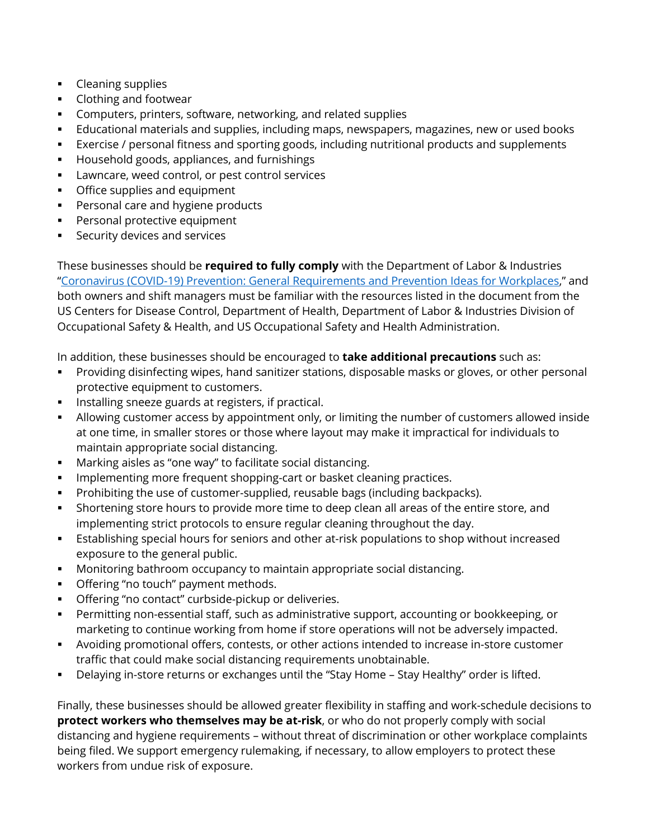- Cleaning supplies
- Clothing and footwear
- Computers, printers, software, networking, and related supplies
- Educational materials and supplies, including maps, newspapers, magazines, new or used books
- Exercise / personal fitness and sporting goods, including nutritional products and supplements
- Household goods, appliances, and furnishings
- Lawncare, weed control, or pest control services
- **•** Office supplies and equipment
- Personal care and hygiene products
- **•** Personal protective equipment
- Security devices and services

These businesses should be **required to fully comply** with the Department of Labor & Industries "[Coronavirus \(COVID-19\) Prevention: General Requirements and Prevention Ideas for Workplaces](https://lni.wa.gov/forms-publications/F414-164-000.pdf?utm_medium=email&utm_source=govdelivery)," and both owners and shift managers must be familiar with the resources listed in the document from the US Centers for Disease Control, Department of Health, Department of Labor & Industries Division of Occupational Safety & Health, and US Occupational Safety and Health Administration.

In addition, these businesses should be encouraged to **take additional precautions** such as:

- Providing disinfecting wipes, hand sanitizer stations, disposable masks or gloves, or other personal protective equipment to customers.
- **·** Installing sneeze guards at registers, if practical.
- **EXECT Allowing customer access by appointment only, or limiting the number of customers allowed inside** at one time, in smaller stores or those where layout may make it impractical for individuals to maintain appropriate social distancing.
- Marking aisles as "one way" to facilitate social distancing.
- Implementing more frequent shopping-cart or basket cleaning practices.
- Prohibiting the use of customer-supplied, reusable bags (including backpacks).
- **EXECT** Shortening store hours to provide more time to deep clean all areas of the entire store, and implementing strict protocols to ensure regular cleaning throughout the day.
- Establishing special hours for seniors and other at-risk populations to shop without increased exposure to the general public.
- Monitoring bathroom occupancy to maintain appropriate social distancing.
- Offering "no touch" payment methods.
- Offering "no contact" curbside-pickup or deliveries.
- Permitting non-essential staff, such as administrative support, accounting or bookkeeping, or marketing to continue working from home if store operations will not be adversely impacted.
- Avoiding promotional offers, contests, or other actions intended to increase in-store customer traffic that could make social distancing requirements unobtainable.
- Delaying in-store returns or exchanges until the "Stay Home Stay Healthy" order is lifted.

Finally, these businesses should be allowed greater flexibility in staffing and work-schedule decisions to **protect workers who themselves may be at-risk**, or who do not properly comply with social distancing and hygiene requirements – without threat of discrimination or other workplace complaints being filed. We support emergency rulemaking, if necessary, to allow employers to protect these workers from undue risk of exposure.